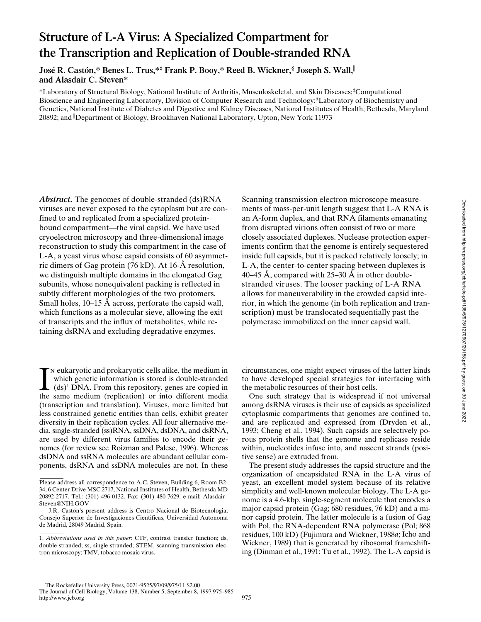# **Structure of L-A Virus: A Specialized Compartment for the Transcription and Replication of Double-stranded RNA**

**José R. Castón,\* Benes L. Trus,\*‡ Frank P. Booy,\* Reed B. Wickner,§ Joseph S. Wall,**<sup>i</sup> **and Alasdair C. Steven\***

\*Laboratory of Structural Biology, National Institute of Arthritis, Musculoskeletal, and Skin Diseases; ‡ Computational Bioscience and Engineering Laboratory, Division of Computer Research and Technology; § Laboratory of Biochemistry and Genetics, National Institute of Diabetes and Digestive and Kidney Diseases, National Institutes of Health, Bethesda, Maryland 20892; and <sup>i</sup> Department of Biology, Brookhaven National Laboratory, Upton, New York 11973

Abstract. The genomes of double-stranded (ds)RNA viruses are never exposed to the cytoplasm but are confined to and replicated from a specialized proteinbound compartment—the viral capsid. We have used cryoelectron microscopy and three-dimensional image reconstruction to study this compartment in the case of L-A, a yeast virus whose capsid consists of 60 asymmetric dimers of Gag protein (76 kD). At 16-Å resolution, we distinguish multiple domains in the elongated Gag subunits, whose nonequivalent packing is reflected in subtly different morphologies of the two protomers. Small holes, 10–15 Å across, perforate the capsid wall, which functions as a molecular sieve, allowing the exit of transcripts and the influx of metabolites, while retaining dsRNA and excluding degradative enzymes.

 $\Gamma$ <sup>N</sup> eukaryotic and prokaryotic cells alike, the medium in which genetic information is stored is double-stranded (ds)<sup>1</sup> DNA. From this repository, genes are copied in the same medium (replication) or into different m n eukaryotic and prokaryotic cells alike, the medium in which genetic information is stored is double-stranded (ds)1 DNA. From this repository, genes are copied in (transcription and translation). Viruses, more limited but less constrained genetic entities than cells, exhibit greater diversity in their replication cycles. All four alternative media, single-stranded (ss)RNA, ssDNA, dsDNA, and dsRNA, are used by different virus families to encode their genomes (for review see Roizman and Palese, 1996). Whereas dsDNA and ssRNA molecules are abundant cellular components, dsRNA and ssDNA molecules are not. In these Scanning transmission electron microscope measurements of mass-per-unit length suggest that L-A RNA is an A-form duplex, and that RNA filaments emanating from disrupted virions often consist of two or more closely associated duplexes. Nuclease protection experiments confirm that the genome is entirely sequestered inside full capsids, but it is packed relatively loosely; in L-A, the center-to-center spacing between duplexes is 40–45 Å, compared with 25–30 Å in other doublestranded viruses. The looser packing of L-A RNA allows for maneuverability in the crowded capsid interior, in which the genome (in both replication and transcription) must be translocated sequentially past the polymerase immobilized on the inner capsid wall.

circumstances, one might expect viruses of the latter kinds to have developed special strategies for interfacing with the metabolic resources of their host cells.

One such strategy that is widespread if not universal among dsRNA viruses is their use of capsids as specialized cytoplasmic compartments that genomes are confined to, and are replicated and expressed from (Dryden et al., 1993; Cheng et al., 1994). Such capsids are selectively porous protein shells that the genome and replicase reside within, nucleotides infuse into, and nascent strands (positive sense) are extruded from.

The present study addresses the capsid structure and the organization of encapsidated RNA in the L-A virus of yeast, an excellent model system because of its relative simplicity and well-known molecular biology. The L-A genome is a 4.6-kbp, single-segment molecule that encodes a major capsid protein (Gag; 680 residues, 76 kD) and a minor capsid protein. The latter molecule is a fusion of Gag with Pol, the RNA-dependent RNA polymerase (Pol; 868 residues, 100 kD) (Fujimura and Wickner, 1988*a*; Icho and Wickner, 1989) that is generated by ribosomal frameshifting (Dinman et al., 1991; Tu et al., 1992). The L-A capsid is

Please address all correspondence to A.C. Steven, Building 6, Room B2- 34, 6 Center Drive MSC 2717, National Institutes of Health, Bethesda MD 20892-2717. Tel.: (301) 496-0132. Fax: (301) 480-7629. e-mail: Alasdair\_ Steven@NIH.GOV

J.R. Castón's present address is Centro Nacional de Biotecnologia, Consejo Superior de Investigaciones Cientificas, Universidad Autonoma de Madrid, 28049 Madrid, Spain.

<sup>1.</sup> *Abbreviations used in this paper*: CTF, contrast transfer function; ds, double-stranded; ss, single-stranded; STEM, scanning transmission electron microscopy; TMV, tobacco mosaic virus.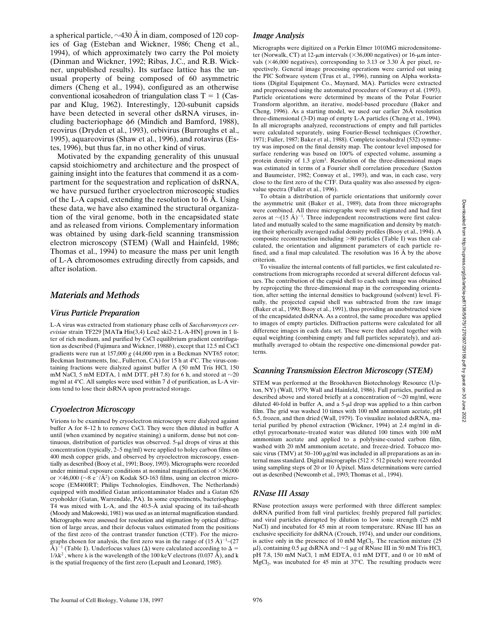a spherical particle,  $\sim$ 430 Å in diam, composed of 120 copies of Gag (Esteban and Wickner, 1986; Cheng et al., 1994), of which approximately two carry the Pol moiety (Dinman and Wickner, 1992; Ribas, J.C., and R.B. Wickner, unpublished results). Its surface lattice has the unusual property of being composed of 60 asymmetric dimers (Cheng et al., 1994), configured as an otherwise conventional icosahedron of triangulation class  $T = 1$  (Caspar and Klug, 1962). Interestingly, 120-subunit capsids have been detected in several other dsRNA viruses, including bacteriophage  $\phi$ 6 (Mindich and Bamford, 1988), reovirus (Dryden et al., 1993), orbivirus (Burroughs et al., 1995), aquareovirus (Shaw et al., 1996), and rotavirus (Estes, 1996), but thus far, in no other kind of virus.

Motivated by the expanding generality of this unusual capsid stoichiometry and architecture and the prospect of gaining insight into the features that commend it as a compartment for the sequestration and replication of dsRNA, we have pursued further cryoelectron microscopic studies of the L-A capsid, extending the resolution to 16 Å. Using these data, we have also examined the structural organization of the viral genome, both in the encapsidated state and as released from virions. Complementary information was obtained by using dark-field scanning transmission electron microscopy (STEM) (Wall and Hainfeld, 1986; Thomas et al., 1994) to measure the mass per unit length of L-A chromosomes extruding directly from capsids, and after isolation.

# *Materials and Methods*

# *Virus Particle Preparation*

L-A virus was extracted from stationary phase cells of *Saccharomyces cerevisiae* strain TF229 [MAT**a** His(3,4) Leu2 ski2-2 L-A-HN] grown in 1 liter of rich medium, and purified by CsCl equilibrium gradient centrifugation as described (Fujimura and Wickner, 1988*b*), except that 12.5 ml CsCl gradients were run at 157,000 *g* (44,000 rpm in a Beckman NVT65 rotor; Beckman Instruments, Inc., Fullerton, CA) for 15 h at 4°C. The virus-containing fractions were dialyzed against buffer A (50 mM Tris HCl, 150 mM NaCl, 5 mM EDTA, 1 mM DTT, pH 7.8) for 6 h, and stored at  $\sim$ 20 mg/ml at  $4^{\circ}$ C. All samples were used within 7 d of purification, as L-A virions tend to lose their dsRNA upon protracted storage.

# *Cryoelectron Microscopy*

Virions to be examined by cryoelectron microscopy were dialyzed against buffer A for 8–12 h to remove CsCl. They were then diluted in buffer A until (when examined by negative staining) a uniform, dense but not continuous, distribution of particles was observed.  $5-\mu l$  drops of virus at this concentration (typically, 2–5 mg/ml) were applied to holey carbon films on 400 mesh copper grids, and observed by cryoelectron microscopy, essentially as described (Booy et al., 1991; Booy, 1993). Micrographs were recorded under minimal exposure conditions at nominal magnifications of  $\times 36,000$ or  $\times$ 46,000 ( $\sim$ 8 e<sup>-</sup>/Å<sup>2</sup>) on Kodak SO-163 films, using an electron microscope (EM400RT; Philips Technologies, Eindhoven, The Netherlands) equipped with modified Gatan anticontaminator blades and a Gatan 626 cryoholder (Gatan, Warrendale, PA). In some experiments, bacteriophage T4 was mixed with L-A, and the 40.5-Å axial spacing of its tail-sheath (Moody and Makowski, 1981) was used as an internal magnification standard. Micrographs were assessed for resolution and stigmation by optical diffraction of large areas, and their defocus values estimated from the positions of the first zero of the contrast transfer function (CTF). For the micrographs chosen for analysis, the first zero was in the range of  $(15 \text{ Å})^{-1}$ – $(27$ Å)<sup>-1</sup> (Table I). Underfocus values ( $\Delta$ ) were calculated according to  $\Delta$  =  $1/\lambda k^2$ , where  $\lambda$  is the wavelength of the 100 keV electrons (0.037 Å), and k is the spatial frequency of the first zero (Lepault and Leonard, 1985).

### *Image Analysis*

Micrographs were digitized on a Perkin Elmer 1010MG microdensitometer (Norwalk, CT) at 12- $\mu$ m intervals ( $\times$ 36,000 negatives) or 16- $\mu$ m intervals ( $\times$ 46,000 negatives), corresponding to 3.13 or 3.30 Å per pixel, respectively. General image processing operations were carried out using the PIC Software system (Trus et al., 1996), running on Alpha workstations (Digital Equipment Co., Maynard, MA). Particles were extracted and preprocessed using the automated procedure of Conway et al. (1993). Particle orientations were determined by means of the Polar Fourier Transform algorithm, an iterative, model-based procedure (Baker and Cheng, 1996). As a starting model, we used our earlier 26Å resolution three-dimensional (3-D) map of empty L-A particles (Cheng et al., 1994). In all micrographs analyzed, reconstructions of empty and full particles were calculated separately, using Fourier-Bessel techniques (Crowther, 1971; Fuller, 1987; Baker et al., 1988). Complete icosahedral (532) symmetry was imposed on the final density map. The contour level imposed for surface rendering was based on 100% of expected volume, assuming a protein density of 1.3 g/cm<sup>3</sup>. Resolution of the three-dimensional maps was estimated in terms of a Fourier shell correlation procedure (Saxton and Baumeister, 1982; Conway et al., 1993), and was, in each case, very close to the first zero of the CTF. Data quality was also assessed by eigenvalue spectra (Fuller et al., 1996).

To obtain a distribution of particle orientations that uniformly cover the asymmetric unit (Baker et al., 1989), data from three micrographs were combined. All three micrographs were well stigmated and had first zeros at  $\sim$ (15 Å)<sup>-1</sup>. Three independent reconstructions were first calculated and mutually scaled to the same magnification and density by matching their spherically averaged radial density profiles (Booy et al., 1994). A composite reconstruction including  $>80$  particles (Table I) was then calculated, the orientation and alignment parameters of each particle refined, and a final map calculated. The resolution was 16 Å by the above criterion.

To visualize the internal contents of full particles, we first calculated reconstructions from micrographs recorded at several different defocus values. The contribution of the capsid shell to each such image was obtained by reprojecting the three-dimensional map in the corresponding orientation, after setting the internal densities to background (solvent) level. Finally, the projected capsid shell was subtracted from the raw image (Baker et al., 1990; Booy et al., 1991), thus providing an unobstructed view of the encapsidated dsRNA. As a control, the same procedure was applied to images of empty particles. Diffraction patterns were calculated for all difference images in each data set. These were then added together with equal weighting (combining empty and full particles separately), and azimuthally averaged to obtain the respective one-dimensional powder patterns.

# *Scanning Transmission Electron Microscopy (STEM)*

STEM was performed at the Brookhaven Biotechnology Resource (Upton, NY) (Wall, 1979; Wall and Hainfeld, 1986). Full particles, purified as described above and stored briefly at a concentration of  $\sim$ 20 mg/ml, were diluted 40-fold in buffer A, and a  $5-\mu l$  drop was applied to a thin carbon film. The grid was washed 10 times with 100 mM ammonium acetate, pH 6.5, frozen, and then dried (Wall, 1979). To visualize isolated dsRNA, material purified by phenol extraction (Wickner, 1994) at 2.4 mg/ml in diethyl pyrocarbonate–treated water was diluted 100 times with 100 mM ammonium acetate and applied to a polylysine-coated carbon film, washed with 20 mM ammonium acetate, and freeze-dried. Tobacco mosaic virus (TMV) at 50–100  $\mu$ g/ml was included in all preparations as an internal mass standard. Digital micrographs  $(512 \times 512)$  pixels) were recorded using sampling steps of 20 or 10 Å/pixel. Mass determinations were carried out as described (Newcomb et al., 1993; Thomas et al., 1994).

# *RNase III Assay*

RNase protection assays were performed with three different samples: dsRNA purified from full viral particles; freshly prepared full particles; and viral particles disrupted by dilution to low ionic strength (25 mM NaCl) and incubated for 45 min at room temperature. RNase III has an exclusive specificity for dsRNA (Crouch, 1974), and under our conditions, is active only in the presence of 10 mM  $MgCl<sub>2</sub>$ . The reaction mixture (25)  $\mu$ l), containing 0.5  $\mu$ g dsRNA and  $\sim$ 1  $\mu$ g of RNase III in 50 mM Tris HCl, pH 7.8, 150 mM NaCl, 1 mM EDTA, 0.1 mM DTT, and 0 or 10 mM of  $MgCl<sub>2</sub>$ , was incubated for 45 min at 37°C. The resulting products were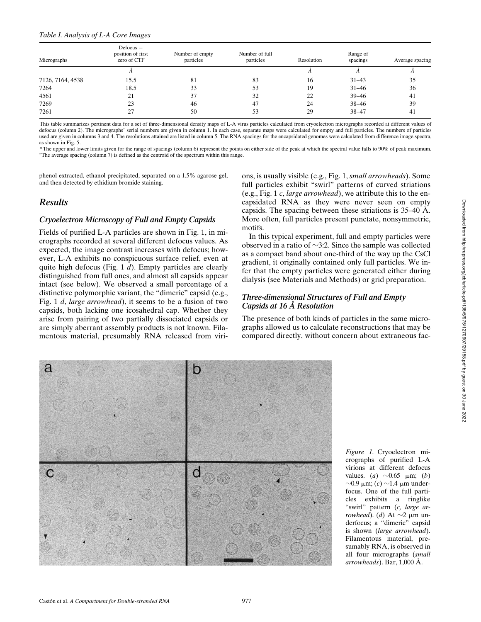#### *Table I. Analysis of L-A Core Images*

| Micrographs      | $Defocus =$<br>position of first<br>zero of CTF | Number of empty<br>particles | Number of full<br>particles | Resolution | Range of<br>spacings | Average spacing |
|------------------|-------------------------------------------------|------------------------------|-----------------------------|------------|----------------------|-----------------|
|                  |                                                 |                              |                             |            |                      |                 |
| 7126, 7164, 4538 | 15.5                                            | 81                           | 83                          | 16         | $31 - 43$            | 35              |
| 7264             | 18.5                                            | 33                           | 53                          | 19         | $31 - 46$            | 36              |
| 4561             | 21                                              | 37                           | 32                          | 22         | $39 - 46$            | -41             |
| 7269             | 23                                              | 46                           | 47                          | 24         | $38 - 46$            | 39              |
| 7261             | 27                                              | 50                           | 53                          | 29         | $38 - 47$            | 41              |

This table summarizes pertinent data for a set of three-dimensional density maps of L-A virus particles calculated from cryoelectron micrographs recorded at different values of defocus (column 2). The micrographs' serial numbers are given in column 1. In each case, separate maps were calculated for empty and full particles. The numbers of particles used are given in columns 3 and 4. The resolutions attained are listed in column 5. The RNA spacings for the encapsidated genomes were calculated from difference image spectra, as shown in Fig. 5.

\*The upper and lower limits given for the range of spacings (column 6) represent the points on either side of the peak at which the spectral value falls to 90% of peak maximum. ‡The average spacing (column 7) is defined as the centroid of the spectrum within this range.

phenol extracted, ethanol precipitated, separated on a 1.5% agarose gel, and then detected by ethidium bromide staining.

# *Results*

# *Cryoelectron Microscopy of Full and Empty Capsids*

Fields of purified L-A particles are shown in Fig. 1, in micrographs recorded at several different defocus values. As expected, the image contrast increases with defocus; however, L-A exhibits no conspicuous surface relief, even at quite high defocus (Fig. 1 *d*). Empty particles are clearly distinguished from full ones, and almost all capsids appear intact (see below). We observed a small percentage of a distinctive polymorphic variant, the "dimeric" capsid (e.g., Fig. 1 *d*, *large arrowhead*), it seems to be a fusion of two capsids, both lacking one icosahedral cap. Whether they arise from pairing of two partially dissociated capsids or are simply aberrant assembly products is not known. Filamentous material, presumably RNA released from virions, is usually visible (e.g., Fig. 1, *small arrowheads*). Some full particles exhibit "swirl" patterns of curved striations (e.g., Fig. 1 *c*, *large arrowhead*), we attribute this to the encapsidated RNA as they were never seen on empty capsids. The spacing between these striations is 35–40 Å. More often, full particles present punctate, nonsymmetric, motifs.

In this typical experiment, full and empty particles were observed in a ratio of  $\sim$ 3:2. Since the sample was collected as a compact band about one-third of the way up the CsCl gradient, it originally contained only full particles. We infer that the empty particles were generated either during dialysis (see Materials and Methods) or grid preparation.

# *Three-dimensional Structures of Full and Empty Capsids at 16 Å Resolution*

The presence of both kinds of particles in the same micrographs allowed us to calculate reconstructions that may be compared directly, without concern about extraneous fac-



*Figure 1.* Cryoelectron micrographs of purified L-A virions at different defocus values. (*a*)  $\sim$ 0.65  $\mu$ m; (*b*)  $\sim$ 0.9  $\mu$ m; (*c*)  $\sim$ 1.4  $\mu$ m underfocus. One of the full particles exhibits a ringlike "swirl" pattern (*c, large arrowhead*). (*d*) At  $\sim$ 2  $\mu$ m underfocus; a "dimeric" capsid is shown (*large arrowhead*). Filamentous material, presumably RNA, is observed in all four micrographs (*small arrowheads*). Bar, 1,000 Å.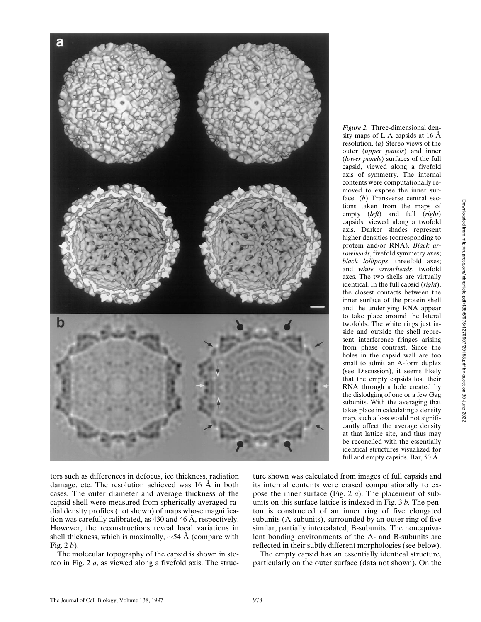

*Figure 2.* Three-dimensional density maps of L-A capsids at 16 Å resolution. (*a*) Stereo views of the outer (*upper panels*) and inner (*lower panels*) surfaces of the full capsid, viewed along a fivefold axis of symmetry. The internal contents were computationally removed to expose the inner surface. (*b*) Transverse central sections taken from the maps of empty (*left*) and full (*right*) capsids, viewed along a twofold axis. Darker shades represent higher densities (corresponding to protein and/or RNA). *Black arrowheads*, fivefold symmetry axes; *black lollipops*, threefold axes; and *white arrowheads*, twofold axes. The two shells are virtually identical. In the full capsid (*right*), the closest contacts between the inner surface of the protein shell and the underlying RNA appear to take place around the lateral twofolds. The white rings just inside and outside the shell represent interference fringes arising from phase contrast. Since the holes in the capsid wall are too small to admit an A-form duplex (see Discussion), it seems likely that the empty capsids lost their RNA through a hole created by the dislodging of one or a few Gag subunits. With the averaging that takes place in calculating a density map, such a loss would not significantly affect the average density at that lattice site, and thus may be reconciled with the essentially identical structures visualized for full and empty capsids. Bar, 50 Å.

tors such as differences in defocus, ice thickness, radiation damage, etc. The resolution achieved was 16 Å in both cases. The outer diameter and average thickness of the capsid shell were measured from spherically averaged radial density profiles (not shown) of maps whose magnification was carefully calibrated, as 430 and 46 Å, respectively. However, the reconstructions reveal local variations in shell thickness, which is maximally,  $\sim$ 54 Å (compare with Fig. 2 *b*).

The molecular topography of the capsid is shown in stereo in Fig. 2 *a*, as viewed along a fivefold axis. The struc-

ture shown was calculated from images of full capsids and its internal contents were erased computationally to expose the inner surface (Fig. 2 *a*). The placement of subunits on this surface lattice is indexed in Fig. 3 *b.* The penton is constructed of an inner ring of five elongated subunits (A-subunits), surrounded by an outer ring of five similar, partially intercalated, B-subunits. The nonequivalent bonding environments of the A- and B-subunits are reflected in their subtly different morphologies (see below).

The empty capsid has an essentially identical structure, particularly on the outer surface (data not shown). On the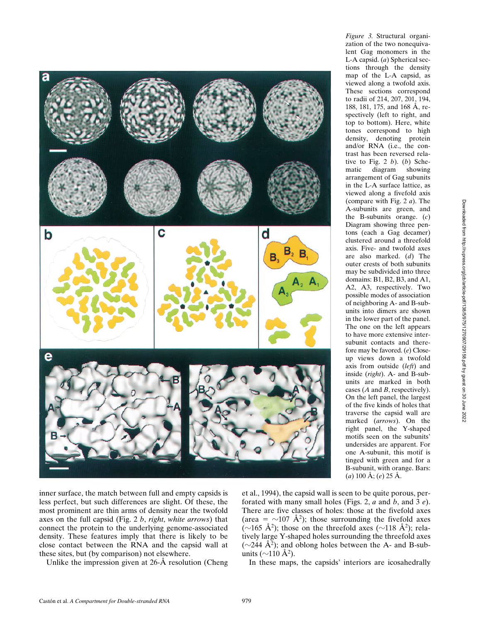

*Figure 3.* Structural organization of the two nonequivalent Gag monomers in the L-A capsid. (*a*) Spherical sections through the density map of the L-A capsid, as viewed along a twofold axis. These sections correspond to radii of 214, 207, 201, 194, 188, 181, 175, and 168 Å, respectively (left to right, and top to bottom). Here, white tones correspond to high density, denoting protein and/or RNA (i.e., the contrast has been reversed relative to Fig. 2 *b*). (*b*) Schematic diagram showing arrangement of Gag subunits in the L-A surface lattice, as viewed along a fivefold axis (compare with Fig. 2 *a*). The A-subunits are green, and the B-subunits orange. (*c*) Diagram showing three pentons (each a Gag decamer) clustered around a threefold axis. Five- and twofold axes are also marked. (*d*) The outer crests of both subunits may be subdivided into three domains: B1, B2, B3, and A1, A2, A3, respectively. Two possible modes of association of neighboring A- and B-subunits into dimers are shown in the lower part of the panel. The one on the left appears to have more extensive intersubunit contacts and therefore may be favored. (*e*) Closeup views down a twofold axis from outside (*left*) and inside (*right*). A- and B-subunits are marked in both cases (*A* and *B*, respectively). On the left panel, the largest of the five kinds of holes that traverse the capsid wall are marked (*arrows*). On the right panel, the Y-shaped motifs seen on the subunits' undersides are apparent. For one A-subunit, this motif is tinged with green and for a B-subunit, with orange. Bars: (*a*) 100 Å; (*e*) 25 Å.

inner surface, the match between full and empty capsids is less perfect, but such differences are slight. Of these, the most prominent are thin arms of density near the twofold axes on the full capsid (Fig. 2 *b*, *right*, *white arrows*) that connect the protein to the underlying genome-associated density. These features imply that there is likely to be close contact between the RNA and the capsid wall at these sites, but (by comparison) not elsewhere.

Unlike the impression given at 26-Å resolution (Cheng

et al., 1994), the capsid wall is seen to be quite porous, perforated with many small holes (Figs. 2, *a* and *b*, and 3 *e*). There are five classes of holes: those at the fivefold axes (area =  $\sim$ 107 Å<sup>2</sup>); those surrounding the fivefold axes ( $\sim$ 165 Å<sup>2</sup>); those on the threefold axes ( $\sim$ 118 Å<sup>2</sup>); relatively large Y-shaped holes surrounding the threefold axes ( $\sim$ 244 Å<sup>2</sup>); and oblong holes between the A- and B-subunits ( $\sim$ 110 Å<sup>2</sup>).

In these maps, the capsids' interiors are icosahedrally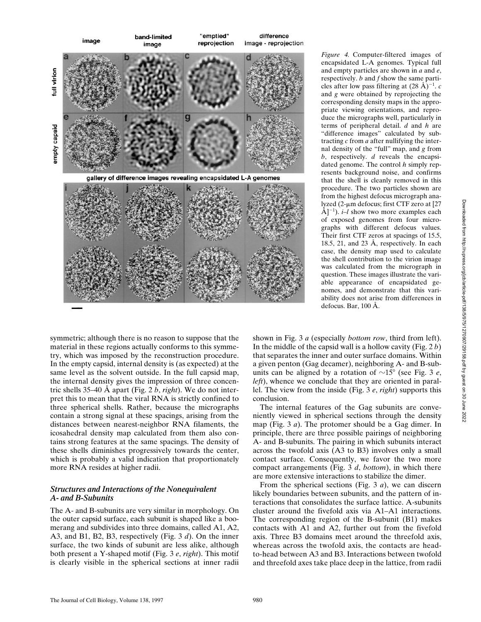

symmetric; although there is no reason to suppose that the material in these regions actually conforms to this symmetry, which was imposed by the reconstruction procedure. In the empty capsid, internal density is (as expected) at the same level as the solvent outside. In the full capsid map, the internal density gives the impression of three concentric shells 35–40 Å apart (Fig. 2 *b*, *right*). We do not interpret this to mean that the viral RNA is strictly confined to three spherical shells. Rather, because the micrographs contain a strong signal at these spacings, arising from the distances between nearest-neighbor RNA filaments, the icosahedral density map calculated from them also contains strong features at the same spacings. The density of these shells diminishes progressively towards the center, which is probably a valid indication that proportionately more RNA resides at higher radii.

# *Structures and Interactions of the Nonequivalent A- and B-Subunits*

The A- and B-subunits are very similar in morphology. On the outer capsid surface, each subunit is shaped like a boomerang and subdivides into three domains, called A1, A2, A3, and B1, B2, B3, respectively (Fig. 3 *d*). On the inner surface, the two kinds of subunit are less alike, although both present a Y-shaped motif (Fig. 3 *e*, *right*). This motif is clearly visible in the spherical sections at inner radii *Figure 4.* Computer-filtered images of encapsidated L-A genomes. Typical full and empty particles are shown in *a* and *e*, respectively. *b* and *f* show the same particles after low pass filtering at  $(28 \text{ Å})^{-1}$ . *c* and *g* were obtained by reprojecting the corresponding density maps in the appropriate viewing orientations, and reproduce the micrographs well, particularly in terms of peripheral detail. *d* and *h* are "difference images" calculated by subtracting *c* from *a* after nullifying the internal density of the "full" map, and *g* from *b*, respectively. *d* reveals the encapsidated genome. The control *h* simply represents background noise, and confirms that the shell is cleanly removed in this procedure. The two particles shown are from the highest defocus micrograph analyzed (2- $\mu$ m defocus; first CTF zero at [27]  $\AA$ ]<sup>-1</sup>). *i–l* show two more examples each of exposed genomes from four micrographs with different defocus values. Their first CTF zeros at spacings of 15.5, 18.5, 21, and 23 Å, respectively. In each case, the density map used to calculate the shell contribution to the virion image was calculated from the micrograph in question. These images illustrate the variable appearance of encapsidated genomes, and demonstrate that this variability does not arise from differences in defocus. Bar, 100 Å.

shown in Fig. 3 *a* (especially *bottom row*, third from left). In the middle of the capsid wall is a hollow cavity (Fig. 2 *b*) that separates the inner and outer surface domains. Within a given penton (Gag decamer), neighboring A- and B-subunits can be aligned by a rotation of  $\sim 15^{\circ}$  (see Fig. 3 *e*, *left*), whence we conclude that they are oriented in parallel. The view from the inside (Fig. 3 *e*, *right*) supports this conclusion.

The internal features of the Gag subunits are conveniently viewed in spherical sections through the density map (Fig. 3 *a*). The protomer should be a Gag dimer. In principle, there are three possible pairings of neighboring A- and B-subunits. The pairing in which subunits interact across the twofold axis (A3 to B3) involves only a small contact surface. Consequently, we favor the two more compact arrangements (Fig. 3 *d*, *bottom*), in which there are more extensive interactions to stabilize the dimer.

From the spherical sections (Fig. 3 *a*), we can discern likely boundaries between subunits, and the pattern of interactions that consolidates the surface lattice. A-subunits cluster around the fivefold axis via A1–A1 interactions. The corresponding region of the B-subunit (B1) makes contacts with A1 and A2, further out from the fivefold axis. Three B3 domains meet around the threefold axis, whereas across the twofold axis, the contacts are headto-head between A3 and B3. Interactions between twofold and threefold axes take place deep in the lattice, from radii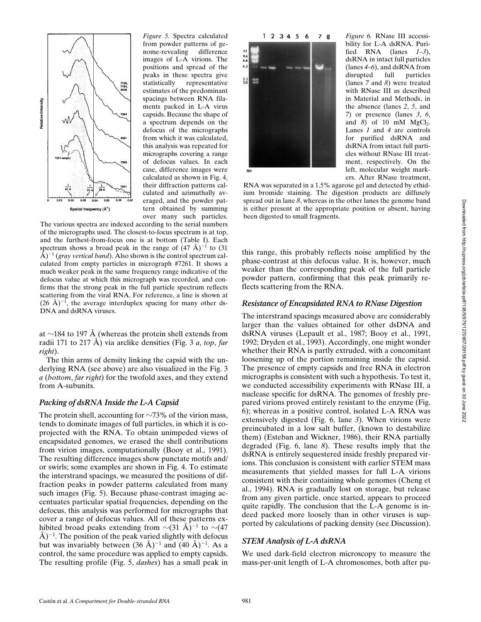

*Figure 5.* Spectra calculated from powder patterns of genome-revealing difference images of L-A virions. The positions and spread of the peaks in these spectra give statistically representative estimates of the predominant spacings between RNA filaments packed in L-A virus capsids. Because the shape of a spectrum depends on the defocus of the micrographs from which it was calculated, this analysis was repeated for micrographs covering a range of defocus values. In each case, difference images were calculated as shown in Fig. 4, their diffraction patterns calculated and azimuthally averaged, and the powder pattern obtained by summing over many such particles.

The various spectra are indexed according to the serial numbers of the micrographs used. The closest-to-focus spectrum is at top, and the furthest-from-focus one is at bottom (Table I). Each spectrum shows a broad peak in the range of  $(47 \text{ Å})^{-1}$  to  $(31 \text{ Å})^{-1}$  $\rm \AA{} )^{-1}$  (*gray vertical band*). Also shown is the control spectrum calculated from empty particles in micrograph #7261. It shows a much weaker peak in the same frequency range indicative of the defocus value at which this micrograph was recorded, and confirms that the strong peak in the full particle spectrum reflects scattering from the viral RNA. For reference, a line is shown at  $(26 \text{ Å})^{-1}$ , the average interduplex spacing for many other ds-DNA and dsRNA viruses.

at  $\sim$ 184 to 197 Å (whereas the protein shell extends from radii 171 to 217 Å) via arclike densities (Fig. 3 *a*, *top*, *far right*).

The thin arms of density linking the capsid with the underlying RNA (see above) are also visualized in the Fig. 3 *a* (*bottom*, *far right*) for the twofold axes, and they extend from A-subunits.

#### *Packing of dsRNA Inside the L-A Capsid*

The protein shell, accounting for  $\sim$ 73% of the virion mass, tends to dominate images of full particles, in which it is coprojected with the RNA. To obtain unimpeded views of encapsidated genomes, we erased the shell contributions from virion images, computationally (Booy et al., 1991). The resulting difference images show punctate motifs and/ or swirls; some examples are shown in Fig. 4. To estimate the interstrand spacings, we measured the positions of diffraction peaks in powder patterns calculated from many such images (Fig. 5). Because phase-contrast imaging accentuates particular spatial frequencies, depending on the defocus, this analysis was performed for micrographs that cover a range of defocus values. All of these patterns exhibited broad peaks extending from  $\sim$ (31 Å)<sup>-1</sup> to  $\sim$ (47  $\AA$ )<sup>-1</sup>. The position of the peak varied slightly with defocus but was invariably between  $(36 \text{ Å})^{-1}$  and  $(40 \text{ Å})^{-1}$ . As a control, the same procedure was applied to empty capsids. The resulting profile (Fig. 5, *dashes*) has a small peak in



*Figure 6.* RNase III accessibility for L-A dsRNA. Purified RNA (lanes *1–3*), dsRNA in intact full particles (lanes *4–6*), and dsRNA from disrupted full particles (lanes *7* and *8*) were treated with RNase III as described in Material and Methods, in the absence (lanes *2*, *5*, and *7*) or presence (lanes *3*, *6*, and  $8$ ) of 10 mM MgCl<sub>2</sub>. Lanes *1* and *4* are controls for purified dsRNA and dsRNA from intact full particles without RNase III treatment, respectively. On the left, molecular weight markers. After RNase treatment,

RNA was separated in a 1.5% agarose gel and detected by ethidium bromide staining. The digestion products are diffusely spread out in lane *8*, whereas in the other lanes the genome band is either present at the appropriate position or absent, having been digested to small fragments.

this range, this probably reflects noise amplified by the phase-contrast at this defocus value. It is, however, much weaker than the corresponding peak of the full particle powder pattern, confirming that this peak primarily reflects scattering from the RNA.

# *Resistance of Encapsidated RNA to RNase Digestion*

The interstrand spacings measured above are considerably larger than the values obtained for other dsDNA and dsRNA viruses (Lepault et al., 1987; Booy et al., 1991, 1992; Dryden et al., 1993). Accordingly, one might wonder whether their RNA is partly extruded, with a concomitant loosening up of the portion remaining inside the capsid. The presence of empty capsids and free RNA in electron micrographs is consistent with such a hypothesis. To test it, we conducted accessibility experiments with RNase III, a nuclease specific for dsRNA. The genomes of freshly prepared virions proved entirely resistant to the enzyme (Fig. 6); whereas in a positive control, isolated L-A RNA was extensively digested (Fig. 6, lane *3*). When virions were preincubated in a low salt buffer, (known to destabilize them) (Esteban and Wickner, 1986), their RNA partially degraded (Fig. 6, lane *8*). These results imply that the dsRNA is entirely sequestered inside freshly prepared virions. This conclusion is consistent with earlier STEM mass measurements that yielded masses for full L-A virions consistent with their containing whole genomes (Cheng et al., 1994). RNA is gradually lost on storage, but release from any given particle, once started, appears to proceed quite rapidly. The conclusion that the L-A genome is indeed packed more loosely than in other viruses is supported by calculations of packing density (see Discussion).

#### *STEM Analysis of L-A dsRNA*

We used dark-field electron microscopy to measure the mass-per-unit length of L-A chromosomes, both after pu-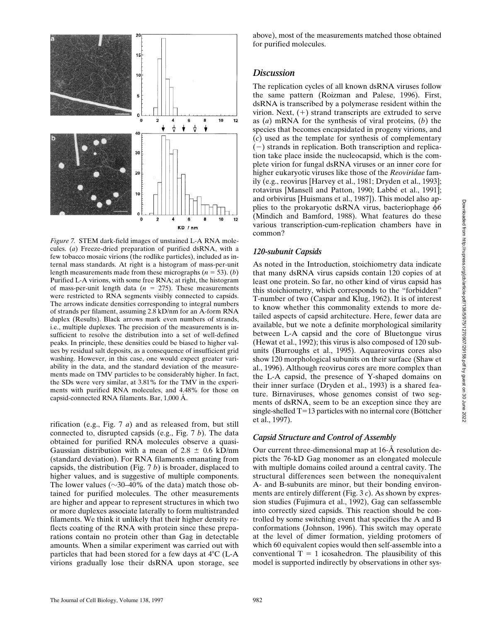

*Figure 7.* STEM dark-field images of unstained L-A RNA molecules. (*a*) Freeze-dried preparation of purified dsRNA, with a few tobacco mosaic virions (the rodlike particles), included as internal mass standards. At right is a histogram of mass-per-unit length measurements made from these micrographs ( $n = 53$ ). (*b*) Purified L-A virions, with some free RNA; at right, the histogram of mass-per-unit length data  $(n = 275)$ . These measurements were restricted to RNA segments visibly connected to capsids. The arrows indicate densities corresponding to integral numbers of strands per filament, assuming 2.8 kD/nm for an A-form RNA duplex (Results). Black arrows mark even numbers of strands, i.e., multiple duplexes. The precision of the measurements is insufficient to resolve the distribution into a set of well-defined peaks. In principle, these densities could be biased to higher values by residual salt deposits, as a consequence of insufficient grid washing. However, in this case, one would expect greater variability in the data, and the standard deviation of the measurements made on TMV particles to be considerably higher. In fact, the SDs were very similar, at 3.81% for the TMV in the experiments with purified RNA molecules, and 4.48% for those on capsid-connected RNA filaments. Bar, 1,000 Å.

rification (e.g., Fig. 7 *a*) and as released from, but still connected to, disrupted capsids (e.g., Fig. 7 *b*). The data obtained for purified RNA molecules observe a quasi-Gaussian distribution with a mean of 2.8  $\pm$  0.6 kD/nm (standard deviation). For RNA filaments emanating from capsids, the distribution (Fig. 7 *b*) is broader, displaced to higher values, and is suggestive of multiple components. The lower values ( $\sim$ 30–40% of the data) match those obtained for purified molecules. The other measurements are higher and appear to represent structures in which two or more duplexes associate laterally to form multistranded filaments. We think it unlikely that their higher density reflects coating of the RNA with protein since these preparations contain no protein other than Gag in detectable amounts. When a similar experiment was carried out with particles that had been stored for a few days at  $4^{\circ}$ C (L-A virions gradually lose their dsRNA upon storage, see

above), most of the measurements matched those obtained for purified molecules.

# *Discussion*

The replication cycles of all known dsRNA viruses follow the same pattern (Roizman and Palese, 1996). First, dsRNA is transcribed by a polymerase resident within the virion. Next,  $(+)$  strand transcripts are extruded to serve as (*a*) mRNA for the synthesis of viral proteins, (*b*) the species that becomes encapsidated in progeny virions, and (*c*) used as the template for synthesis of complementary  $(-)$  strands in replication. Both transcription and replication take place inside the nucleocapsid, which is the complete virion for fungal dsRNA viruses or an inner core for higher eukaryotic viruses like those of the *Reoviridae* family (e.g., reovirus [Harvey et al., 1981; Dryden et al., 1993]; rotavirus [Mansell and Patton, 1990; Labbé et al., 1991]; and orbivirus [Huismans et al., 1987]). This model also applies to the prokaryotic dsRNA virus, bacteriophage  $\phi$ 6 (Mindich and Bamford, 1988). What features do these various transcription-cum-replication chambers have in common?

# *120-subunit Capsids*

As noted in the Introduction, stoichiometry data indicate that many dsRNA virus capsids contain 120 copies of at least one protein. So far, no other kind of virus capsid has this stoichiometry, which corresponds to the "forbidden" T-number of two (Caspar and Klug, 1962). It is of interest to know whether this commonality extends to more detailed aspects of capsid architecture. Here, fewer data are available, but we note a definite morphological similarity between L-A capsid and the core of Bluetongue virus (Hewat et al., 1992); this virus is also composed of 120 subunits (Burroughs et al., 1995). Aquareovirus cores also show 120 morphological subunits on their surface (Shaw et al., 1996). Although reovirus cores are more complex than the L-A capsid, the presence of Y-shaped domains on their inner surface (Dryden et al., 1993) is a shared feature. Birnaviruses, whose genomes consist of two segments of dsRNA, seem to be an exception since they are single-shelled  $T=13$  particles with no internal core (Böttcher et al., 1997).

# *Capsid Structure and Control of Assembly*

Our current three-dimensional map at 16-Å resolution depicts the 76-kD Gag monomer as an elongated molecule with multiple domains coiled around a central cavity. The structural differences seen between the nonequivalent A- and B-subunits are minor, but their bonding environments are entirely different (Fig. 3 *c*). As shown by expression studies (Fujimura et al., 1992), Gag can selfassemble into correctly sized capsids. This reaction should be controlled by some switching event that specifies the A and B conformations (Johnson, 1996). This switch may operate at the level of dimer formation, yielding protomers of which 60 equivalent copies would then self-assemble into a conventional  $T = 1$  icosahedron. The plausibility of this model is supported indirectly by observations in other sys-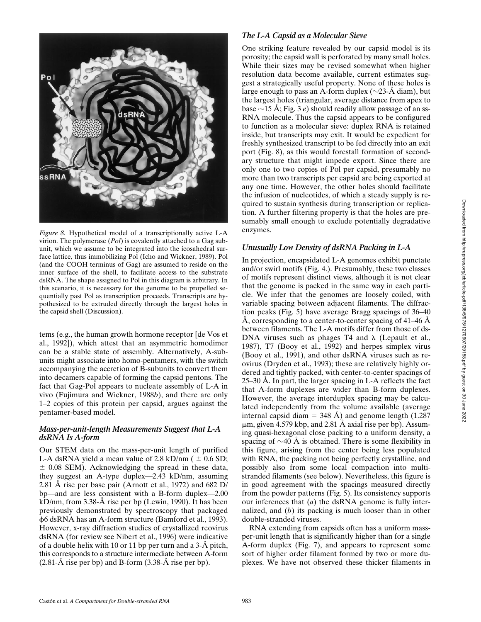

*Figure 8.* Hypothetical model of a transcriptionally active L-A virion. The polymerase (*Pol*) is covalently attached to a Gag subunit, which we assume to be integrated into the icosahedral surface lattice, thus immobilizing Pol (Icho and Wickner, 1989). Pol (and the COOH terminus of Gag) are assumed to reside on the inner surface of the shell, to facilitate access to the substrate dsRNA. The shape assigned to Pol in this diagram is arbitrary. In this scenario, it is necessary for the genome to be propelled sequentially past Pol as transcription proceeds. Transcripts are hypothesized to be extruded directly through the largest holes in the capsid shell (Discussion).

tems (e.g., the human growth hormone receptor [de Vos et al., 1992]), which attest that an asymmetric homodimer can be a stable state of assembly. Alternatively, A-subunits might associate into homo-pentamers, with the switch accompanying the accretion of B-subunits to convert them into decamers capable of forming the capsid pentons. The fact that Gag-Pol appears to nucleate assembly of L-A in vivo (Fujimura and Wickner, 1988*b*), and there are only 1–2 copies of this protein per capsid, argues against the pentamer-based model.

# *Mass-per-unit-length Measurements Suggest that L-A dsRNA Is A-form*

Our STEM data on the mass-per-unit length of purified L-A dsRNA yield a mean value of 2.8 kD/nm ( $\pm$  0.6 SD;  $\pm$  0.08 SEM). Acknowledging the spread in these data, they suggest an A-type duplex—2.43 kD/nm, assuming 2.81 Å rise per base pair (Arnott et al., 1972) and 682 D/ bp—and are less consistent with a B-form duplex—2.00 kD/nm, from 3.38-Å rise per bp (Lewin, 1990). It has been previously demonstrated by spectroscopy that packaged f6 dsRNA has an A-form structure (Bamford et al., 1993). However, x-ray diffraction studies of crystallized reovirus dsRNA (for review see Nibert et al., 1996) were indicative of a double helix with 10 or 11 bp per turn and a 3-Å pitch, this corresponds to a structure intermediate between A-form  $(2.81-\text{\AA} \text{ rise per bp})$  and B-form  $(3.38-\text{\AA} \text{ rise per bp})$ .

# *The L-A Capsid as a Molecular Sieve*

One striking feature revealed by our capsid model is its porosity; the capsid wall is perforated by many small holes. While their sizes may be revised somewhat when higher resolution data become available, current estimates suggest a strategically useful property. None of these holes is large enough to pass an A-form duplex ( $\sim$ 23-Å diam), but the largest holes (triangular, average distance from apex to base  $\sim$ 15 Å; Fig. 3 *e*) should readily allow passage of an ss-RNA molecule. Thus the capsid appears to be configured to function as a molecular sieve: duplex RNA is retained inside, but transcripts may exit. It would be expedient for freshly synthesized transcript to be fed directly into an exit port (Fig. 8), as this would forestall formation of secondary structure that might impede export. Since there are only one to two copies of Pol per capsid, presumably no more than two transcripts per capsid are being exported at any one time. However, the other holes should facilitate the infusion of nucleotides, of which a steady supply is required to sustain synthesis during transcription or replication. A further filtering property is that the holes are presumably small enough to exclude potentially degradative enzymes.

# *Unusually Low Density of dsRNA Packing in L-A*

In projection, encapsidated L-A genomes exhibit punctate and/or swirl motifs (Fig. 4.). Presumably, these two classes of motifs represent distinct views, although it is not clear that the genome is packed in the same way in each particle. We infer that the genomes are loosely coiled, with variable spacing between adjacent filaments. The diffraction peaks (Fig. 5) have average Bragg spacings of 36–40 Å, corresponding to a center-to-center spacing of 41–46 Å between filaments. The L-A motifs differ from those of ds-DNA viruses such as phages  $T4$  and  $\lambda$  (Lepault et al., 1987), T7 (Booy et al., 1992) and herpes simplex virus (Booy et al., 1991), and other dsRNA viruses such as reovirus (Dryden et al., 1993); these are relatively highly ordered and tightly packed, with center-to-center spacings of 25–30 Å. In part, the larger spacing in L-A reflects the fact that A-form duplexes are wider than B-form duplexes. However, the average interduplex spacing may be calculated independently from the volume available (average internal capsid diam = 348 Å) and genome length (1.287  $\mu$ m, given 4.579 kbp, and 2.81 Å axial rise per bp). Assuming quasi-hexagonal close packing to a uniform density, a spacing of  $\sim$ 40 Å is obtained. There is some flexibility in this figure, arising from the center being less populated with RNA, the packing not being perfectly crystalline, and possibly also from some local compaction into multistranded filaments (see below). Nevertheless, this figure is in good agreement with the spacings measured directly from the powder patterns (Fig. 5). Its consistency supports our inferences that (*a*) the dsRNA genome is fully internalized, and (*b*) its packing is much looser than in other double-stranded viruses.

RNA extending from capsids often has a uniform massper-unit length that is significantly higher than for a single A-form duplex (Fig. 7), and appears to represent some sort of higher order filament formed by two or more duplexes. We have not observed these thicker filaments in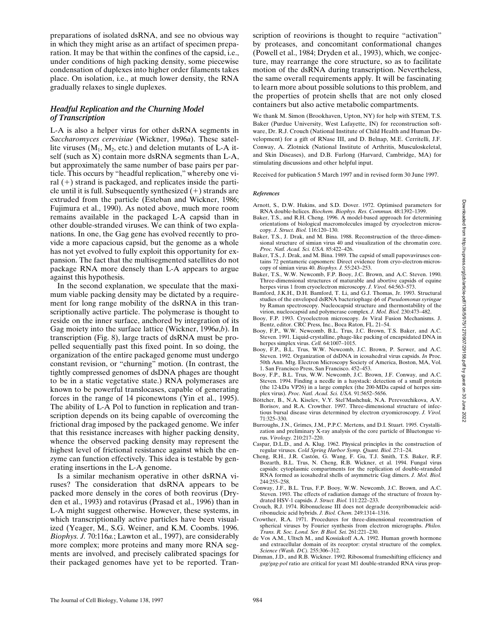preparations of isolated dsRNA, and see no obvious way in which they might arise as an artifact of specimen preparation. It may be that within the confines of the capsid, i.e., under conditions of high packing density, some piecewise condensation of duplexes into higher order filaments takes place. On isolation, i.e., at much lower density, the RNA gradually relaxes to single duplexes.

# *Headful Replication and the Churning Model of Transcription*

L-A is also a helper virus for other dsRNA segments in *Saccharomyces cerevisiae* (Wickner, 1996*a*). These satellite viruses  $(M_1, M_2,$  etc.) and deletion mutants of L-A itself (such as X) contain more dsRNA segments than L-A, but approximately the same number of base pairs per particle. This occurs by "headful replication," whereby one viral  $(+)$  strand is packaged, and replicates inside the particle until it is full. Subsequently synthesized  $(+)$  strands are extruded from the particle (Esteban and Wickner, 1986; Fujimura et al., 1990). As noted above, much more room remains available in the packaged L-A capsid than in other double-stranded viruses. We can think of two explanations. In one, the Gag gene has evolved recently to provide a more capacious capsid, but the genome as a whole has not yet evolved to fully exploit this opportunity for expansion. The fact that the multisegmented satellites do not package RNA more densely than L-A appears to argue against this hypothesis.

In the second explanation, we speculate that the maximum viable packing density may be dictated by a requirement for long range mobility of the dsRNA in this transcriptionally active particle. The polymerase is thought to reside on the inner surface, anchored by integration of its Gag moiety into the surface lattice (Wickner, 1996*a*,*b*). In transcription (Fig. 8), large tracts of dsRNA must be propelled sequentially past this fixed point. In so doing, the organization of the entire packaged genome must undergo constant revision, or "churning" motion. (In contrast, the tightly compressed genomes of dsDNA phages are thought to be in a static vegetative state.) RNA polymerases are known to be powerful translocases, capable of generating forces in the range of 14 piconewtons (Yin et al., 1995). The ability of L-A Pol to function in replication and transcription depends on its being capable of overcoming the frictional drag imposed by the packaged genome. We infer that this resistance increases with higher packing density, whence the observed packing density may represent the highest level of frictional resistance against which the enzyme can function effectively. This idea is testable by generating insertions in the L-A genome.

Is a similar mechanism operative in other dsRNA viruses? The consideration that dsRNA appears to be packed more densely in the cores of both reovirus (Dryden et al., 1993) and rotavirus (Prasad et al., 1996) than in L-A might suggest otherwise. However, these systems, in which transcriptionally active particles have been visualized (Yeager, M., S.G. Weiner, and K.M. Coombs. 1996. *Biophys. J.* 70:116*a.*; Lawton et al., 1997), are considerably more complex; more proteins and many more RNA segments are involved, and precisely calibrated spacings for their packaged genomes have yet to be reported. Transcription of reovirions is thought to require "activation" by proteases, and concomitant conformational changes (Powell et al., 1984; Dryden et al., 1993), which, we conjecture, may rearrange the core structure, so as to facilitate motion of the dsRNA during transcription. Nevertheless, the same overall requirements apply. It will be fascinating to learn more about possible solutions to this problem, and the properties of protein shells that are not only closed containers but also active metabolic compartments.

We thank M. Simon (Brookhaven, Upton, NY) for help with STEM, T.S. Baker (Purdue University, West Lafayette, IN) for reconstruction software, Dr. R.J. Crouch (National Institute of Child Health and Human Development) for a gift of RNase III, and D. Belnap, M.E. Cerritelli, J.F. Conway, A. Zlotnick (National Institute of Arthritis, Musculoskeletal, and Skin Diseases), and D.B. Furlong (Harvard, Cambridge, MA) for stimulating discussions and other helpful input.

Received for publication 5 March 1997 and in revised form 30 June 1997.

#### *References*

- Arnott, S., D.W. Hukins, and S.D. Dover. 1972. Optimised parameters for RNA double-helices. *Biochem. Biophys. Res. Commun.* 48:1392–1399.
- Baker, T.S., and R.H. Cheng. 1996. A model-based approach for determining orientations of biological macromolecules imaged by cryoelectron microscopy. *J. Struct. Biol.* 116:120–130.
- Baker, T.S., J. Drak, and M. Bina. 1988. Reconstruction of the three-dimensional structure of simian virus 40 and visualization of the chromatin core. *Proc. Natl. Acad. Sci. USA.* 85:422–426.
- Baker, T.S., J. Drak, and M. Bina. 1989. The capsid of small papovaviruses contains 72 pentameric capsomers: Direct evidence from cryo-electron-microscopy of simian virus 40. *Biophys. J.* 55:243–253.
- Baker, T.S., W.W. Newcomb, F.P. Booy, J.C. Brown, and A.C. Steven. 1990. Three-dimensional structures of maturable and abortive capsids of equine herpes virus 1 from cryoelectron microscopy. *J. Virol.* 64:563–573.
- Bamford, J.K.H., D.H. Bamford, T. Li, and G.J. Thomas, Jr. 1993. Structural studies of the enveloped dsRNA bacteriophage  $\phi$ 6 of *Pseudomonas syringae* by Raman spectroscopy. Nucleocapsid structure and thermostability of the virion, nucleocapsid and polymerase complex. *J. Mol. Biol.* 230:473–482.
- Booy, F.P. 1993. Cryoelectron microscopy. *In* Viral Fusion Mechanisms. J. Bentz, editor. CRC Press, Inc., Boca Raton, FL. 21–54.
- Booy, F.P., W.W. Newcomb, B.L. Trus, J.C. Brown, T.S. Baker, and A.C. Steven. 1991. Liquid-crystalline, phage-like packing of encapsidated DNA in herpes simplex virus. *Cell.* 64:1007–1015.
- Booy, F.P., B.L. Trus, W.W. Newcomb, J.C. Brown, P. Serwer, and A.C. Steven. 1992. Organization of dsDNA in icosahedral virus capsids. *In* Proc. 50th Ann. Mtg. Electron Microscopy Society of America, Boston, MA, Vol. 1. San Francisco Press, San Francisco. 452–453.
- Booy, F.P., B.L. Trus, W.W. Newcomb, J.C. Brown, J.F. Conway, and A.C. Steven. 1994. Finding a needle in a haystack: detection of a small protein (the 12-kDa VP26) in a large complex (the 200-MDa capsid of herpes simplex virus). *Proc. Natl. Acad. Sci. USA.* 91:5652–5656.
- Böttcher, B., N.A. Kiselev, V.Y. Stel'Mashchuk, N.A. Perevozchikova, A.V. Borisov, and R.A. Crowther. 1997. Three-dimensional structure of infectious bursal disease virus determined by electron cryomicroscopy. *J. Virol.* 71:325–330.
- Burroughs, J.N., Grimes, J.M., P.P.C. Mertens, and D.I. Stuart. 1995. Crystallization and preliminary X-ray analysis of the core particle of Bluetongue virus. *Virology.* 210:217–220.
- Caspar, D.L.D., and A. Klug. 1962. Physical principles in the construction of regular viruses. *Cold Spring Harbor Symp. Quant. Biol.* 27:1–24.
- Cheng, R.H., J.R. Castón, G. Wang, F. Gu, T.J. Smith, T.S. Baker, R.F. Bozarth, B.L. Trus, N. Cheng, R.B. Wickner, et al. 1994. Fungal virus capsids: cytoplasmic compartments for the replication of double-stranded RNA formed as icosahedral shells of asymmetric Gag dimers. *J. Mol. Biol.* 244:255–258.
- Conway, J.F., B.L. Trus, F.P. Booy, W.W. Newcomb, J.C. Brown, and A.C. Steven. 1993. The effects of radiation damage of the structure of frozen hy-drated HSV-1 capsids. *J. Struct. Biol.* 111:222–233.
- Crouch, R.J. 1974. Ribonuclease III does not degrade deoxyribonucleic acidribonucleic acid hybrids. *J. Biol. Chem.* 249:1314–1316.
- Crowther, R.A. 1971. Procedures for three-dimensional reconstruction of spherical viruses by Fourier synthesis from electron micrographs. *Philos. Trans. R. Soc. Lond. Ser. B Biol. Sei.* 261:221–230.
- de Vos A.M., Ultsch M., and Kossiakoff A.A. 1992. Human growth hormone and extracellular domain of its receptor: crystal structure of the complex. *Science (Wash. DC).* 255:306–312.
- Dinman, J.D., and R.B. Wickner. 1992. Ribosomal frameshifting efficiency and *gag/gag-pol* ratio are critical for yeast M1 double-stranded RNA virus prop-